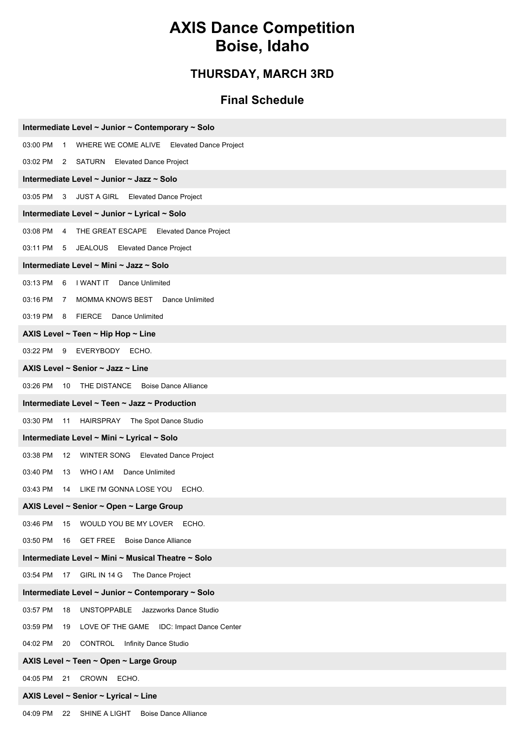### **AXIS Dance Competition Boise, Idaho**

#### **THURSDAY, MARCH 3RD**

#### **Final Schedule**

| Intermediate Level ~ Junior ~ Contemporary ~ Solo                |
|------------------------------------------------------------------|
| 03:00 PM 1<br>WHERE WE COME ALIVE Elevated Dance Project         |
| 03:02 PM 2 SATURN Elevated Dance Project                         |
| Intermediate Level ~ Junior ~ Jazz ~ Solo                        |
| 03:05 PM 3 JUST A GIRL Elevated Dance Project                    |
| Intermediate Level ~ Junior ~ Lyrical ~ Solo                     |
| 03:08 PM 4 THE GREAT ESCAPE Elevated Dance Project               |
| 03:11 PM 5 JEALOUS Elevated Dance Project                        |
| Intermediate Level ~ Mini ~ Jazz ~ Solo                          |
| 03:13 PM 6 I WANT IT Dance Unlimited                             |
| 03:16 PM 7<br>MOMMA KNOWS BEST Dance Unlimited                   |
| 03:19 PM 8 FIERCE Dance Unlimited                                |
| AXIS Level ~ Teen ~ Hip Hop ~ Line                               |
| 03:22 PM 9 EVERYBODY ECHO.                                       |
| AXIS Level ~ Senior ~ Jazz ~ Line                                |
| 10 THE DISTANCE Boise Dance Alliance<br>03:26 PM                 |
| Intermediate Level ~ Teen ~ Jazz ~ Production                    |
| 03:30 PM 11 HAIRSPRAY The Spot Dance Studio                      |
| Intermediate Level ~ Mini ~ Lyrical ~ Solo                       |
| 03:38 PM<br>12 WINTER SONG Elevated Dance Project                |
| 03:40 PM<br>WHO I AM Dance Unlimited<br>13                       |
| 03:43 PM<br>14 LIKE I'M GONNA LOSE YOU ECHO.                     |
| AXIS Level ~ Senior ~ Open ~ Large Group                         |
| 03:46 PM<br>WOULD YOU BE MY LOVER ECHO.<br>15                    |
| <b>GET FREE</b><br><b>Boise Dance Alliance</b><br>03:50 PM<br>16 |
| Intermediate Level ~ Mini ~ Musical Theatre ~ Solo               |
| 03:54 PM<br>GIRL IN 14 G<br>The Dance Project<br>17              |
| Intermediate Level ~ Junior ~ Contemporary ~ Solo                |
| 03:57 PM<br><b>UNSTOPPABLE</b><br>18<br>Jazzworks Dance Studio   |
| 03:59 PM<br>LOVE OF THE GAME IDC: Impact Dance Center<br>19      |
| <b>CONTROL</b> Infinity Dance Studio<br>04:02 PM<br>20           |
| AXIS Level ~ Teen ~ Open ~ Large Group                           |
| 04:05 PM<br>21<br>CROWN ECHO.                                    |
| AXIS Level ~ Senior ~ Lyrical ~ Line                             |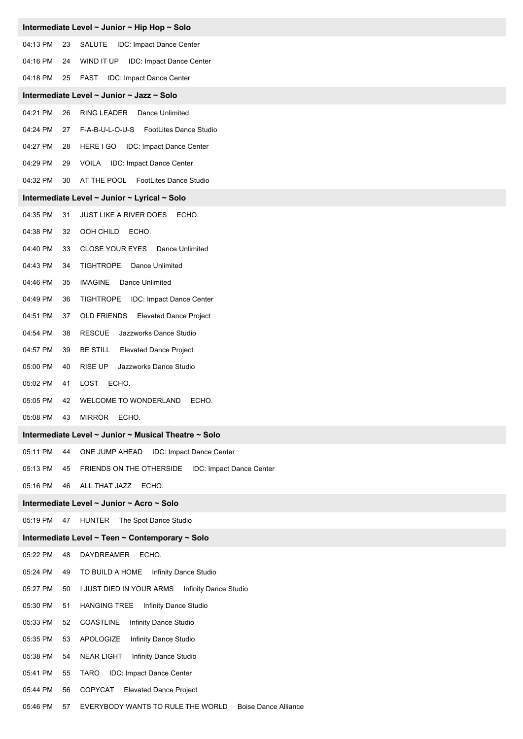|          |    | Intermediate Level ~ Junior ~ Hip Hop ~ Solo           |
|----------|----|--------------------------------------------------------|
| 04:13 PM | 23 | SALUTE<br><b>IDC: Impact Dance Center</b>              |
| 04:16 PM | 24 | WIND IT UP<br>IDC: Impact Dance Center                 |
| 04:18 PM | 25 | FAST<br>IDC: Impact Dance Center                       |
|          |    | Intermediate Level ~ Junior ~ Jazz ~ Solo              |
| 04:21 PM | 26 | RING LEADER<br>Dance Unlimited                         |
| 04:24 PM | 27 | F-A-B-U-L-O-U-S FootLites Dance Studio                 |
| 04:27 PM | 28 | HERE I GO<br>IDC: Impact Dance Center                  |
| 04:29 PM | 29 | VOILA IDC: Impact Dance Center                         |
| 04:32 PM | 30 | AT THE POOL FootLites Dance Studio                     |
|          |    | Intermediate Level ~ Junior ~ Lyrical ~ Solo           |
| 04:35 PM | 31 | <b>JUST LIKE A RIVER DOES</b><br>ECHO.                 |
| 04:38 PM | 32 | OOH CHILD<br>ECHO.                                     |
| 04:40 PM | 33 | CLOSE YOUR EYES Dance Unlimited                        |
| 04:43 PM | 34 | <b>TIGHTROPE</b><br>Dance Unlimited                    |
| 04:46 PM | 35 | <b>IMAGINE</b><br>Dance Unlimited                      |
| 04:49 PM | 36 | <b>TIGHTROPE</b><br>IDC: Impact Dance Center           |
| 04:51 PM | 37 | OLD FRIENDS<br><b>Elevated Dance Project</b>           |
| 04:54 PM | 38 | <b>RESCUE</b><br>Jazzworks Dance Studio                |
| 04:57 PM | 39 | <b>BE STILL</b><br><b>Elevated Dance Project</b>       |
| 05:00 PM | 40 | Jazzworks Dance Studio<br><b>RISE UP</b>               |
| 05:02 PM | 41 | ECHO.<br>LOST                                          |
| 05:05 PM | 42 | <b>WELCOME TO WONDERLAND</b><br>ECHO.                  |
| 05:08 PM | 43 | <b>MIRROR</b><br>ECHO.                                 |
|          |    | Intermediate Level ~ Junior ~ Musical Theatre ~ Solo   |
| 05:11 PM | 44 | ONE JUMP AHEAD<br>IDC: Impact Dance Center             |
| 05:13 PM | 45 | FRIENDS ON THE OTHERSIDE IDC: Impact Dance Center      |
| 05:16 PM | 46 | ALL THAT JAZZ ECHO.                                    |
|          |    | Intermediate Level ~ Junior ~ Acro ~ Solo              |
| 05:19 PM | 47 | HUNTER The Spot Dance Studio                           |
|          |    | Intermediate Level ~ Teen ~ Contemporary ~ Solo        |
| 05:22 PM | 48 | DAYDREAMER<br>ECHO.                                    |
| 05:24 PM | 49 | TO BUILD A HOME<br>Infinity Dance Studio               |
| 05:27 PM | 50 | I JUST DIED IN YOUR ARMS<br>Infinity Dance Studio      |
| 05:30 PM | 51 | <b>HANGING TREE</b><br>Infinity Dance Studio           |
| 05:33 PM | 52 | COASTLINE<br>Infinity Dance Studio                     |
| 05:35 PM | 53 | APOLOGIZE<br>Infinity Dance Studio                     |
| 05:38 PM | 54 | <b>NEAR LIGHT</b><br>Infinity Dance Studio             |
| 05:41 PM | 55 | IDC: Impact Dance Center<br>TARO                       |
| 05:44 PM | 56 | COPYCAT<br><b>Elevated Dance Project</b>               |
| 05:46 PM | 57 | EVERYBODY WANTS TO RULE THE WORLD Boise Dance Alliance |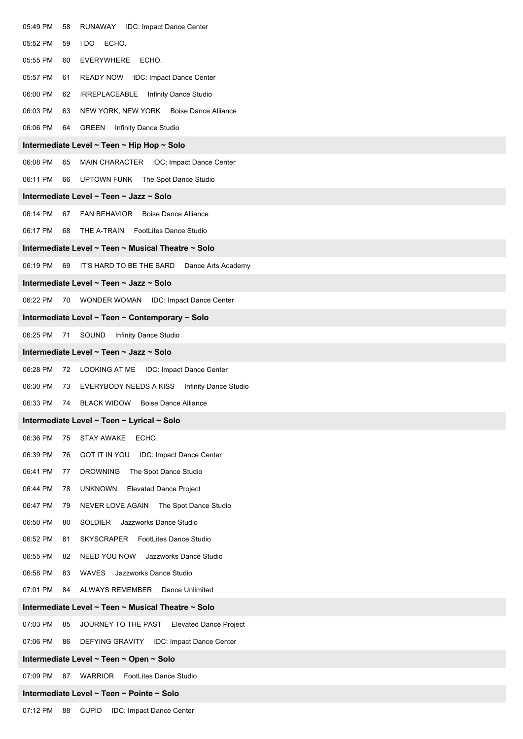| 05:49 PM<br>RUNAWAY IDC: Impact Dance Center<br>58                          |
|-----------------------------------------------------------------------------|
| ECHO.<br>05:52 PM<br>59<br>I DO                                             |
| 05:55 PM<br><b>EVERYWHERE</b><br>60<br>ECHO.                                |
| 05:57 PM<br><b>READY NOW</b><br>IDC: Impact Dance Center<br>61              |
| 06:00 PM<br>Infinity Dance Studio<br>62<br>IRREPLACEABLE                    |
| 06:03 PM<br>NEW YORK, NEW YORK Boise Dance Alliance<br>63                   |
| 06:06 PM<br>GREEN<br>Infinity Dance Studio<br>64                            |
| Intermediate Level ~ Teen ~ Hip Hop ~ Solo                                  |
| 06:08 PM<br>MAIN CHARACTER IDC: Impact Dance Center<br>65                   |
| 06:11 PM<br>UPTOWN FUNK<br>The Spot Dance Studio<br>66                      |
| Intermediate Level ~ Teen ~ Jazz ~ Solo                                     |
| 06:14 PM<br>FAN BEHAVIOR Boise Dance Alliance<br>67                         |
| 06:17 PM<br>THE A-TRAIN<br>FootLites Dance Studio<br>68                     |
| Intermediate Level ~ Teen ~ Musical Theatre ~ Solo                          |
| 06:19 PM<br>IT'S HARD TO BE THE BARD<br>69<br>Dance Arts Academy            |
| Intermediate Level ~ Teen ~ Jazz ~ Solo                                     |
| 06:22 PM<br>WONDER WOMAN<br>IDC: Impact Dance Center<br>70                  |
| Intermediate Level ~ Teen ~ Contemporary ~ Solo                             |
| 06:25 PM<br>SOUND<br>Infinity Dance Studio<br>71                            |
| Intermediate Level ~ Teen ~ Jazz ~ Solo                                     |
| 06:28 PM<br><b>LOOKING AT ME</b><br><b>IDC: Impact Dance Center</b><br>72   |
| 06:30 PM<br>EVERYBODY NEEDS A KISS  Infinity Dance Studio<br>73             |
| 06:33 PM<br><b>BLACK WIDOW</b><br><b>Boise Dance Alliance</b><br>74         |
| Intermediate Level ~ Teen ~ Lyrical ~ Solo                                  |
| 06:36 PM<br><b>STAY AWAKE</b><br>ECHO.<br>75                                |
| 06:39 PM<br><b>GOT IT IN YOU</b><br><b>IDC: Impact Dance Center</b><br>76   |
| 06:41 PM<br><b>DROWNING</b><br>The Spot Dance Studio<br>77                  |
| 06:44 PM<br><b>UNKNOWN</b><br><b>Elevated Dance Project</b><br>78           |
| 06:47 PM<br>The Spot Dance Studio<br>79<br>NEVER LOVE AGAIN                 |
| 06:50 PM<br>SOLDIER Jazzworks Dance Studio<br>80                            |
| 06:52 PM<br>FootLites Dance Studio<br>81<br>SKYSCRAPER                      |
| 06:55 PM<br>NEED YOU NOW<br>Jazzworks Dance Studio<br>82                    |
| 06:58 PM<br>WAVES<br>Jazzworks Dance Studio<br>83                           |
| 07:01 PM<br><b>ALWAYS REMEMBER</b><br>Dance Unlimited<br>84                 |
| Intermediate Level ~ Teen ~ Musical Theatre ~ Solo                          |
| 07:03 PM<br>85<br>JOURNEY TO THE PAST<br><b>Elevated Dance Project</b>      |
| 07:06 PM<br>86<br><b>DEFYING GRAVITY</b><br><b>IDC: Impact Dance Center</b> |
| Intermediate Level ~ Teen ~ Open ~ Solo                                     |
| 07:09 PM<br>WARRIOR<br>FootLites Dance Studio<br>87                         |
| Intermediate Level ~ Teen ~ Pointe ~ Solo                                   |
| <b>CUPID</b><br>07:12 PM<br>88<br>IDC: Impact Dance Center                  |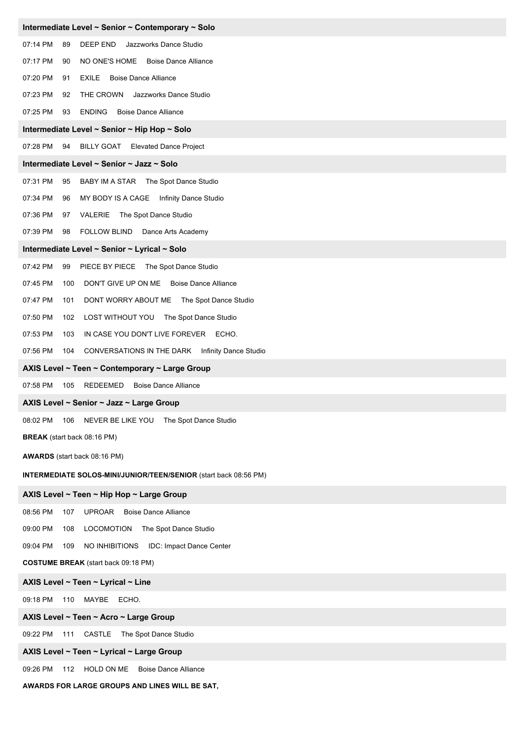| Intermediate Level ~ Senior ~ Contemporary ~ Solo                  |
|--------------------------------------------------------------------|
| 07:14 PM<br>89<br>DEEP END<br>Jazzworks Dance Studio               |
| 07:17 PM<br>NO ONE'S HOME Boise Dance Alliance<br>90               |
| 07:20 PM<br><b>EXILE</b> Boise Dance Alliance<br>91                |
| 07:23 PM<br>THE CROWN<br>Jazzworks Dance Studio<br>92              |
| 07:25 PM<br><b>ENDING</b> Boise Dance Alliance<br>93               |
| Intermediate Level ~ Senior ~ Hip Hop ~ Solo                       |
| 07:28 PM<br>94<br>BILLY GOAT Elevated Dance Project                |
| Intermediate Level ~ Senior ~ Jazz ~ Solo                          |
| 07:31 PM<br>95<br>BABY IM A STAR The Spot Dance Studio             |
| 07:34 PM<br>MY BODY IS A CAGE  Infinity Dance Studio<br>96         |
| 07:36 PM<br>97 VALERIE The Spot Dance Studio                       |
| 07:39 PM<br><b>FOLLOW BLIND</b><br>98<br>Dance Arts Academy        |
| Intermediate Level ~ Senior ~ Lyrical ~ Solo                       |
| 07:42 PM<br>99<br>PIECE BY PIECE The Spot Dance Studio             |
| 07:45 PM<br>DON'T GIVE UP ON ME Boise Dance Alliance<br>100        |
| 07:47 PM<br>101<br>DONT WORRY ABOUT ME The Spot Dance Studio       |
| 07:50 PM<br>102<br>LOST WITHOUT YOU The Spot Dance Studio          |
| 07:53 PM<br>103<br>IN CASE YOU DON'T LIVE FOREVER ECHO.            |
| 07:56 PM<br>CONVERSATIONS IN THE DARK Infinity Dance Studio<br>104 |
| AXIS Level ~ Teen ~ Contemporary ~ Large Group                     |
| 07:58 PM<br>105<br>REDEEMED<br><b>Boise Dance Alliance</b>         |
| AXIS Level ~ Senior ~ Jazz ~ Large Group                           |
| 08:02 PM<br>NEVER BE LIKE YOU The Spot Dance Studio<br>106         |
| BREAK (start back 08:16 PM)                                        |
| AWARDS (start back 08:16 PM)                                       |
| INTERMEDIATE SOLOS-MINI/JUNIOR/TEEN/SENIOR (start back 08:56 PM)   |
| AXIS Level ~ Teen ~ Hip Hop ~ Large Group                          |
| 08:56 PM<br><b>Boise Dance Alliance</b><br>107<br>UPROAR           |
| 09:00 PM<br><b>LOCOMOTION</b><br>The Spot Dance Studio<br>108      |
| 09:04 PM<br>NO INHIBITIONS IDC: Impact Dance Center<br>109         |
| <b>COSTUME BREAK</b> (start back 09:18 PM)                         |
| AXIS Level ~ Teen ~ Lyrical ~ Line                                 |
| 09:18 PM<br>110 MAYBE ECHO.                                        |
| AXIS Level ~ Teen ~ Acro ~ Large Group                             |
| 09:22 PM<br>111 CASTLE The Spot Dance Studio                       |
| AXIS Level ~ Teen ~ Lyrical ~ Large Group                          |
| 09:26 PM<br>HOLD ON ME<br><b>Boise Dance Alliance</b><br>112       |

**AWARDS FOR LARGE GROUPS AND LINES WILL BE SAT,**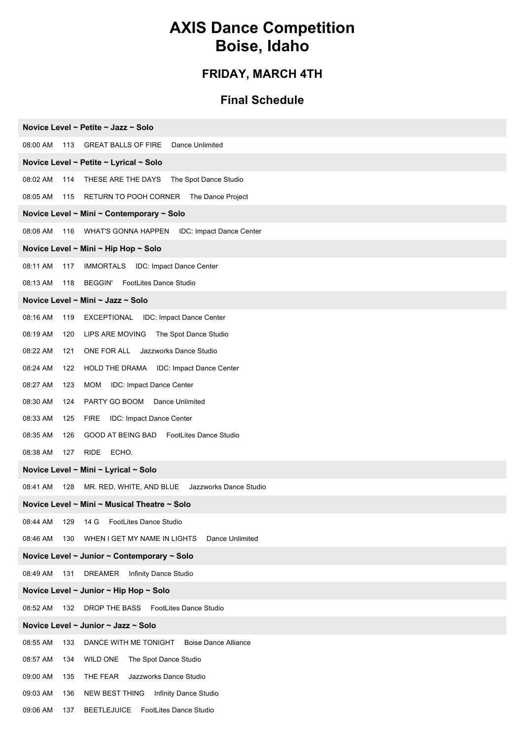# **AXIS Dance Competition Boise, Idaho**

### **FRIDAY, MARCH 4TH**

#### **Final Schedule**

| Novice Level ~ Petite ~ Jazz ~ Solo                                     |
|-------------------------------------------------------------------------|
| 08:00 AM<br>113<br><b>GREAT BALLS OF FIRE</b><br>Dance Unlimited        |
| Novice Level ~ Petite ~ Lyrical ~ Solo                                  |
| 08:02 AM<br>THESE ARE THE DAYS<br>The Spot Dance Studio<br>114          |
| 08:05 AM<br>RETURN TO POOH CORNER<br>The Dance Project<br>115           |
| Novice Level ~ Mini ~ Contemporary ~ Solo                               |
| 08:08 AM<br>116<br>WHAT'S GONNA HAPPEN<br>IDC: Impact Dance Center      |
| Novice Level ~ Mini ~ Hip Hop ~ Solo                                    |
| 08:11 AM<br>117<br>IMMORTALS IDC: Impact Dance Center                   |
| 08:13 AM<br>118 BEGGIN' FootLites Dance Studio                          |
| Novice Level ~ Mini ~ Jazz ~ Solo                                       |
| 08:16 AM<br>EXCEPTIONAL<br>IDC: Impact Dance Center<br>119              |
| 08:19 AM<br>LIPS ARE MOVING The Spot Dance Studio<br>120                |
| 08:22 AM<br>ONE FOR ALL Jazzworks Dance Studio<br>121                   |
| 08:24 AM<br>HOLD THE DRAMA IDC: Impact Dance Center<br>122              |
| 08:27 AM<br>123<br><b>MOM</b><br>IDC: Impact Dance Center               |
| 08:30 AM<br>PARTY GO BOOM Dance Unlimited<br>124                        |
| 08:33 AM<br>IDC: Impact Dance Center<br>125<br><b>FIRE</b>              |
| FootLites Dance Studio<br>08:35 AM<br>GOOD AT BEING BAD<br>126          |
| 08:38 AM<br>127<br>RIDE ECHO.                                           |
| Novice Level ~ Mini ~ Lyrical ~ Solo                                    |
| 08:41 AM<br>128<br>MR. RED, WHITE, AND BLUE Jazzworks Dance Studio      |
| Novice Level ~ Mini ~ Musical Theatre ~ Solo                            |
| 08:44 AM<br>FootLites Dance Studio<br>129<br>14 G                       |
| 08:46 AM<br>WHEN I GET MY NAME IN LIGHTS<br>Dance Unlimited<br>130      |
| Novice Level ~ Junior ~ Contemporary ~ Solo                             |
| 08:49 AM<br><b>DREAMER</b><br>Infinity Dance Studio<br>131              |
| Novice Level ~ Junior ~ Hip Hop ~ Solo                                  |
| 132 DROP THE BASS FootLites Dance Studio<br>08:52 AM                    |
| Novice Level ~ Junior ~ Jazz ~ Solo                                     |
| 08:55 AM<br>133<br>DANCE WITH ME TONIGHT<br><b>Boise Dance Alliance</b> |
| 08:57 AM<br><b>WILD ONE</b><br>The Spot Dance Studio<br>134             |
| 09:00 AM<br>THE FEAR<br>Jazzworks Dance Studio<br>135                   |
| 09:03 AM<br>NEW BEST THING<br>Infinity Dance Studio<br>136              |
| 09:06 AM<br>BEETLEJUICE FootLites Dance Studio<br>137                   |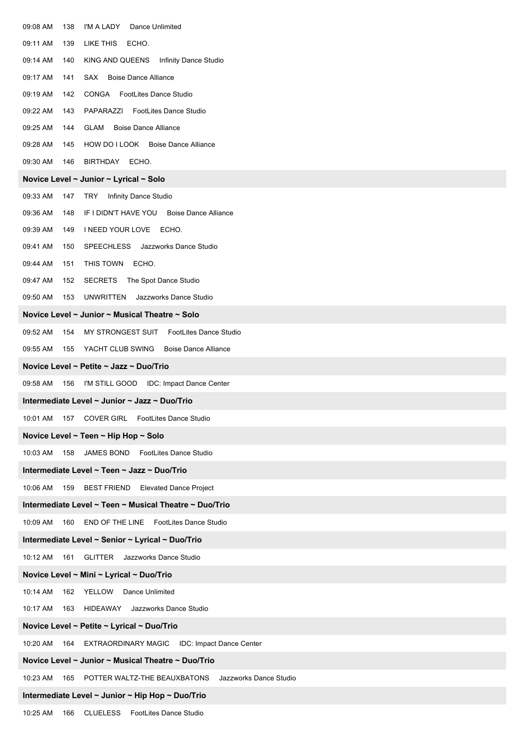| 09:08 AM | 138 | I'M A LADY<br>Dance Unlimited                          |
|----------|-----|--------------------------------------------------------|
| 09:11 AM | 139 | LIKE THIS<br>ECHO.                                     |
| 09:14 AM | 140 | KING AND QUEENS<br>Infinity Dance Studio               |
| 09:17 AM | 141 | <b>Boise Dance Alliance</b><br>SAX                     |
| 09:19 AM | 142 | <b>CONGA</b> FootLites Dance Studio                    |
| 09:22 AM | 143 | <b>FootLites Dance Studio</b><br>PAPARAZZI             |
| 09:25 AM | 144 | <b>Boise Dance Alliance</b><br>GLAM                    |
| 09:28 AM | 145 | HOW DO I LOOK Boise Dance Alliance                     |
| 09:30 AM | 146 | BIRTHDAY ECHO.                                         |
|          |     | Novice Level ~ Junior ~ Lyrical ~ Solo                 |
| 09:33 AM | 147 | Infinity Dance Studio<br>TRY                           |
| 09:36 AM | 148 | IF I DIDN'T HAVE YOU Boise Dance Alliance              |
| 09:39 AM | 149 | I NEED YOUR LOVE ECHO.                                 |
| 09:41 AM | 150 | Jazzworks Dance Studio<br><b>SPEECHLESS</b>            |
| 09:44 AM | 151 | THIS TOWN<br>ECHO.                                     |
| 09:47 AM | 152 | SECRETS The Spot Dance Studio                          |
| 09:50 AM | 153 | <b>UNWRITTEN</b><br>Jazzworks Dance Studio             |
|          |     | Novice Level ~ Junior ~ Musical Theatre ~ Solo         |
| 09:52 AM | 154 | MY STRONGEST SUIT<br><b>FootLites Dance Studio</b>     |
| 09:55 AM | 155 | YACHT CLUB SWING Boise Dance Alliance                  |
|          |     | Novice Level ~ Petite ~ Jazz ~ Duo/Trio                |
| 09:58 AM | 156 | I'M STILL GOOD<br>IDC: Impact Dance Center             |
|          |     | Intermediate Level ~ Junior ~ Jazz ~ Duo/Trio          |
|          |     | 10:01 AM 157 COVER GIRL FootLites Dance Studio         |
|          |     | Novice Level ~ Teen ~ Hip Hop ~ Solo                   |
| 10:03 AM | 158 | JAMES BOND FootLites Dance Studio                      |
|          |     | Intermediate Level ~ Teen ~ Jazz ~ Duo/Trio            |
| 10:06 AM | 159 | <b>BEST FRIEND</b><br><b>Elevated Dance Project</b>    |
|          |     | Intermediate Level ~ Teen ~ Musical Theatre ~ Duo/Trio |
| 10:09 AM | 160 | END OF THE LINE FootLites Dance Studio                 |
|          |     | Intermediate Level ~ Senior ~ Lyrical ~ Duo/Trio       |
| 10:12 AM | 161 | <b>GLITTER</b><br>Jazzworks Dance Studio               |
|          |     | Novice Level ~ Mini ~ Lyrical ~ Duo/Trio               |
| 10:14 AM |     | 162 YELLOW Dance Unlimited                             |
| 10:17 AM | 163 | HIDEAWAY<br>Jazzworks Dance Studio                     |
|          |     | Novice Level ~ Petite ~ Lyrical ~ Duo/Trio             |
| 10:20 AM |     | 164 EXTRAORDINARY MAGIC<br>IDC: Impact Dance Center    |
|          |     | Novice Level ~ Junior ~ Musical Theatre ~ Duo/Trio     |
| 10:23 AM | 165 | POTTER WALTZ-THE BEAUXBATONS<br>Jazzworks Dance Studio |
|          |     | Intermediate Level ~ Junior ~ Hip Hop ~ Duo/Trio       |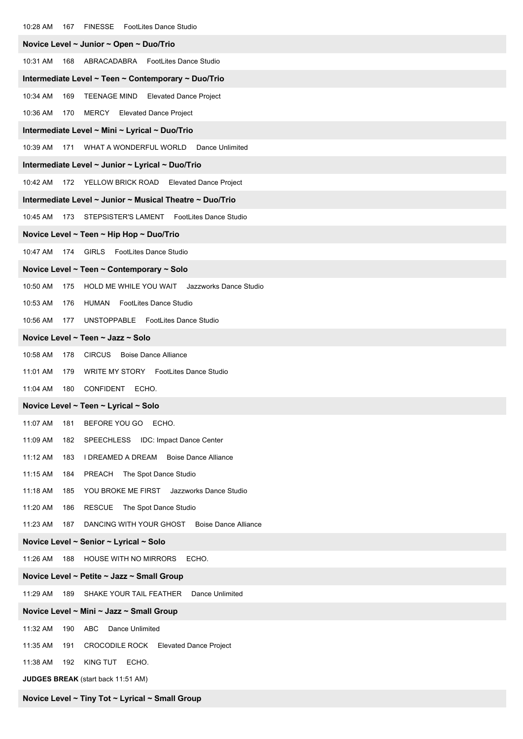| 10:28 AM<br>FINESSE FootLites Dance Studio<br>167                         |
|---------------------------------------------------------------------------|
| Novice Level ~ Junior ~ Open ~ Duo/Trio                                   |
| 10:31 AM<br>168 ABRACADABRA FootLites Dance Studio                        |
| Intermediate Level ~ Teen ~ Contemporary ~ Duo/Trio                       |
| 10:34 AM<br>169<br><b>TEENAGE MIND</b><br><b>Elevated Dance Project</b>   |
| 10:36 AM<br>170 MERCY Elevated Dance Project                              |
| Intermediate Level ~ Mini ~ Lyrical ~ Duo/Trio                            |
| 10:39 AM<br>171 WHAT A WONDERFUL WORLD Dance Unlimited                    |
| Intermediate Level ~ Junior ~ Lyrical ~ Duo/Trio                          |
| 10:42 AM<br>172 YELLOW BRICK ROAD Elevated Dance Project                  |
| Intermediate Level ~ Junior ~ Musical Theatre ~ Duo/Trio                  |
| 10:45 AM<br>173 STEPSISTER'S LAMENT FootLites Dance Studio                |
| Novice Level ~ Teen ~ Hip Hop ~ Duo/Trio                                  |
| 174 GIRLS FootLites Dance Studio<br>10:47 AM                              |
| Novice Level ~ Teen ~ Contemporary ~ Solo                                 |
| HOLD ME WHILE YOU WAIT Jazzworks Dance Studio<br>10:50 AM<br>175          |
| 10:53 AM<br>HUMAN FootLites Dance Studio<br>176                           |
| 10:56 AM<br>177 UNSTOPPABLE FootLites Dance Studio                        |
| Novice Level ~ Teen ~ Jazz ~ Solo                                         |
| 10:58 AM<br><b>CIRCUS</b> Boise Dance Alliance<br>178                     |
| WRITE MY STORY FootLites Dance Studio<br>11:01 AM<br>179                  |
| CONFIDENT<br>11:04 AM<br>180<br>ECHO.                                     |
| Novice Level ~ Teen ~ Lyrical ~ Solo                                      |
| 11:07 AM<br>BEFORE YOU GO ECHO.<br>181                                    |
| 11:09 AM<br>IDC: Impact Dance Center<br>182<br><b>SPEECHLESS</b>          |
| 11:12 AM<br>I DREAMED A DREAM<br><b>Boise Dance Alliance</b><br>183       |
| 11:15 AM<br>PREACH The Spot Dance Studio<br>184                           |
| 11:18 AM<br>YOU BROKE ME FIRST<br>Jazzworks Dance Studio<br>185           |
| 11:20 AM<br>RESCUE The Spot Dance Studio<br>186                           |
| DANCING WITH YOUR GHOST<br><b>Boise Dance Alliance</b><br>11:23 AM<br>187 |
| Novice Level ~ Senior ~ Lyrical ~ Solo                                    |
| 11:26 AM<br><b>HOUSE WITH NO MIRRORS</b><br>ECHO.<br>188                  |
| Novice Level ~ Petite ~ Jazz ~ Small Group                                |
| 11:29 AM<br>SHAKE YOUR TAIL FEATHER<br>Dance Unlimited<br>189             |
| Novice Level ~ Mini ~ Jazz ~ Small Group                                  |
| Dance Unlimited<br>11:32 AM<br>190<br>ABC                                 |
| 11:35 AM<br>CROCODILE ROCK Elevated Dance Project<br>191                  |
| <b>KING TUT</b><br>11:38 AM<br>ECHO.<br>192                               |
| JUDGES BREAK (start back 11:51 AM)                                        |

**Novice Level ~ Tiny Tot ~ Lyrical ~ Small Group**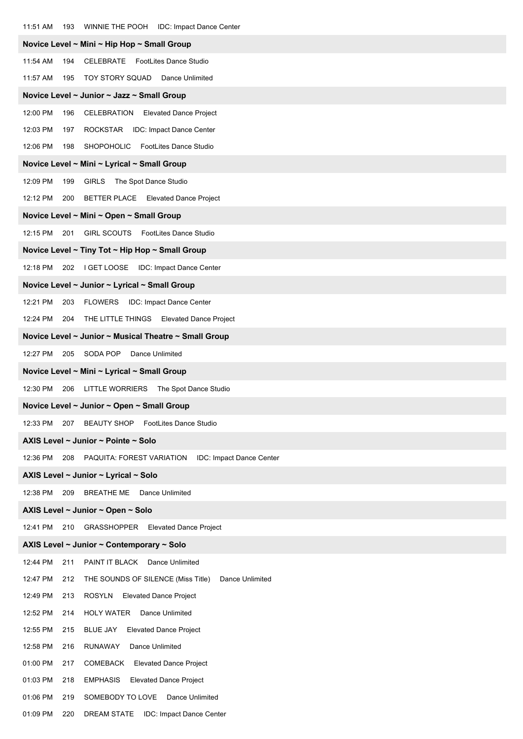| 11:51 AM<br>WINNIE THE POOH IDC: Impact Dance Center<br>193              |
|--------------------------------------------------------------------------|
| Novice Level ~ Mini ~ Hip Hop ~ Small Group                              |
| 11:54 AM<br>CELEBRATE FootLites Dance Studio<br>194                      |
| TOY STORY SQUAD Dance Unlimited<br>11:57 AM<br>195                       |
| Novice Level ~ Junior ~ Jazz ~ Small Group                               |
| 12:00 PM<br>CELEBRATION<br><b>Elevated Dance Project</b><br>196          |
| 12:03 PM<br>ROCKSTAR IDC: Impact Dance Center<br>197                     |
| 12:06 PM<br>SHOPOHOLIC FootLites Dance Studio<br>198                     |
| Novice Level ~ Mini ~ Lyrical ~ Small Group                              |
| 12:09 PM<br>199<br><b>GIRLS</b><br>The Spot Dance Studio                 |
| BETTER PLACE Elevated Dance Project<br>12:12 PM<br>200                   |
| Novice Level ~ Mini ~ Open ~ Small Group                                 |
| GIRL SCOUTS FootLites Dance Studio<br>12:15 PM<br>201                    |
| Novice Level ~ Tiny Tot ~ Hip Hop ~ Small Group                          |
| 12:18 PM<br>202 I GET LOOSE IDC: Impact Dance Center                     |
| Novice Level ~ Junior ~ Lyrical ~ Small Group                            |
| 12:21 PM<br><b>FLOWERS</b><br>IDC: Impact Dance Center<br>203            |
| 12:24 PM<br>THE LITTLE THINGS Elevated Dance Project<br>204              |
| Novice Level ~ Junior ~ Musical Theatre ~ Small Group                    |
| 12:27 PM<br>205<br>SODA POP<br>Dance Unlimited                           |
| Novice Level ~ Mini ~ Lyrical ~ Small Group                              |
| 12:30 PM<br>206<br>LITTLE WORRIERS The Spot Dance Studio                 |
| Novice Level ~ Junior ~ Open ~ Small Group                               |
| 12:33 PM<br><b>BEAUTY SHOP</b><br><b>FootLites Dance Studio</b><br>207   |
| AXIS Level ~ Junior ~ Pointe ~ Solo                                      |
| 12:36 PM<br>208<br>PAQUITA: FOREST VARIATION<br>IDC: Impact Dance Center |
| AXIS Level ~ Junior ~ Lyrical ~ Solo                                     |
| Dance Unlimited<br>12:38 PM<br>209<br><b>BREATHE ME</b>                  |
| AXIS Level ~ Junior ~ Open ~ Solo                                        |
| GRASSHOPPER<br><b>Elevated Dance Project</b><br>12:41 PM<br>210          |
| AXIS Level ~ Junior ~ Contemporary ~ Solo                                |
| 12:44 PM<br>211<br>PAINT IT BLACK Dance Unlimited                        |
| 12:47 PM<br>Dance Unlimited<br>212<br>THE SOUNDS OF SILENCE (Miss Title) |
| 12:49 PM<br><b>ROSYLN</b><br><b>Elevated Dance Project</b><br>213        |
| 12:52 PM<br><b>HOLY WATER</b><br>Dance Unlimited<br>214                  |
| 12:55 PM<br><b>BLUE JAY</b><br>215<br><b>Elevated Dance Project</b>      |
| 12:58 PM<br><b>RUNAWAY</b><br>Dance Unlimited<br>216                     |
| 01:00 PM<br>COMEBACK<br><b>Elevated Dance Project</b><br>217             |
| 01:03 PM<br><b>EMPHASIS</b><br><b>Elevated Dance Project</b><br>218      |
| 01:06 PM<br>SOMEBODY TO LOVE<br>Dance Unlimited<br>219                   |
| 01:09 PM<br>DREAM STATE IDC: Impact Dance Center<br>220                  |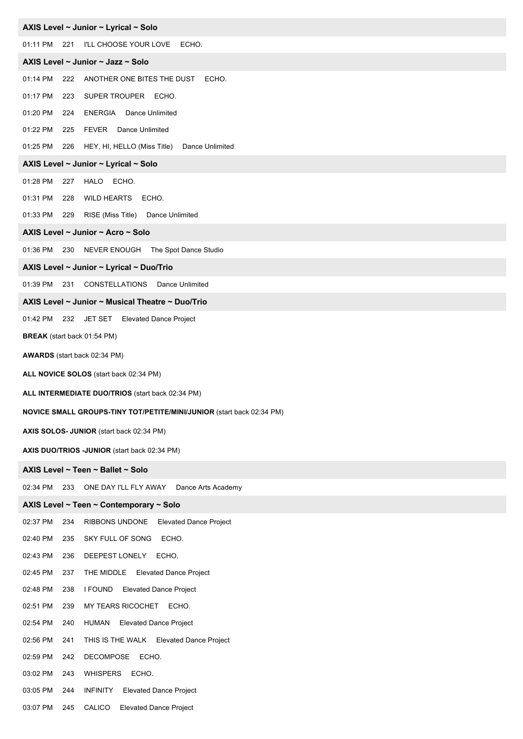|              |     | AXIS Level ~ Junior ~ Lyrical ~ Solo                                  |
|--------------|-----|-----------------------------------------------------------------------|
| 01:11 PM 221 |     | I'LL CHOOSE YOUR LOVE ECHO.                                           |
|              |     | AXIS Level ~ Junior ~ Jazz ~ Solo                                     |
| 01:14 PM     | 222 | ANOTHER ONE BITES THE DUST<br>ECHO.                                   |
| 01:17 PM     | 223 | SUPER TROUPER ECHO.                                                   |
| 01:20 PM     | 224 | <b>ENERGIA</b> Dance Unlimited                                        |
| 01:22 PM     | 225 | FEVER Dance Unlimited                                                 |
| 01:25 PM     | 226 | HEY, HI, HELLO (Miss Title) Dance Unlimited                           |
|              |     | AXIS Level ~ Junior ~ Lyrical ~ Solo                                  |
| 01:28 PM     | 227 | HALO ECHO.                                                            |
| 01:31 PM     | 228 | WILD HEARTS ECHO.                                                     |
| 01:33 PM     | 229 | RISE (Miss Title) Dance Unlimited                                     |
|              |     | AXIS Level ~ Junior ~ Acro ~ Solo                                     |
| 01:36 PM     | 230 | NEVER ENOUGH The Spot Dance Studio                                    |
|              |     | AXIS Level ~ Junior ~ Lyrical ~ Duo/Trio                              |
|              |     | 01:39 PM 231 CONSTELLATIONS Dance Unlimited                           |
|              |     | AXIS Level ~ Junior ~ Musical Theatre ~ Duo/Trio                      |
|              |     | 01:42 PM 232 JET SET Elevated Dance Project                           |
|              |     | <b>BREAK</b> (start back 01:54 PM)                                    |
|              |     | <b>AWARDS</b> (start back 02:34 PM)                                   |
|              |     | ALL NOVICE SOLOS (start back 02:34 PM)                                |
|              |     | ALL INTERMEDIATE DUO/TRIOS (start back 02:34 PM)                      |
|              |     |                                                                       |
|              |     | NOVICE SMALL GROUPS-TINY TOT/PETITE/MINI/JUNIOR (start back 02:34 PM) |
|              |     | AXIS SOLOS- JUNIOR (start back 02:34 PM)                              |
|              |     | AXIS DUO/TRIOS - JUNIOR (start back 02:34 PM)                         |
|              |     | AXIS Level ~ Teen ~ Ballet ~ Solo                                     |
| 02:34 PM     | 233 | ONE DAY I'LL FLY AWAY<br>Dance Arts Academy                           |
|              |     | AXIS Level ~ Teen ~ Contemporary ~ Solo                               |
| 02:37 PM     | 234 | RIBBONS UNDONE<br><b>Elevated Dance Project</b>                       |
| 02:40 PM     | 235 | SKY FULL OF SONG<br>ECHO.                                             |
| 02:43 PM     | 236 | DEEPEST LONELY<br>ECHO.                                               |
| 02:45 PM     | 237 | THE MIDDLE Elevated Dance Project                                     |
| 02:48 PM     | 238 | I FOUND<br><b>Elevated Dance Project</b>                              |
| 02:51 PM     | 239 | MY TEARS RICOCHET<br>ECHO.                                            |
| 02:54 PM     | 240 | <b>Elevated Dance Project</b><br>HUMAN                                |
| 02:56 PM     | 241 | THIS IS THE WALK Elevated Dance Project                               |
| 02:59 PM     | 242 | DECOMPOSE ECHO.                                                       |
| 03:02 PM     |     | WHISPERS<br>ECHO.                                                     |
|              | 243 |                                                                       |
| 03:05 PM     | 244 | <b>INFINITY</b><br><b>Elevated Dance Project</b>                      |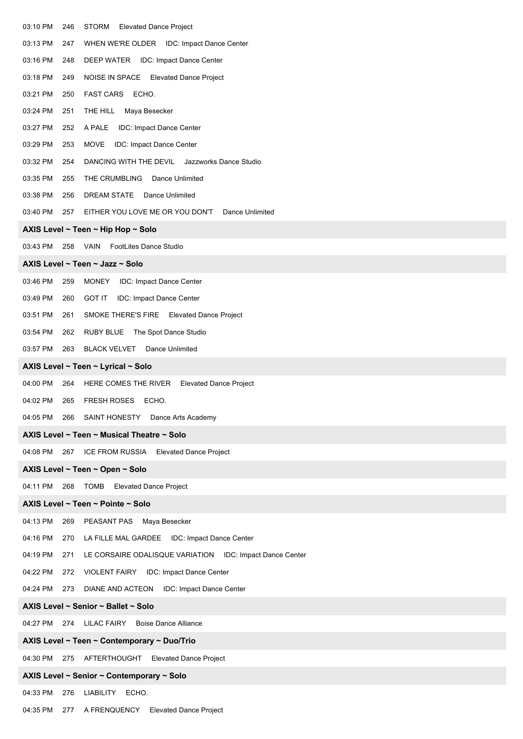| 03:10 PM | 246 | <b>STORM</b><br><b>Elevated Dance Project</b>            |  |  |  |  |
|----------|-----|----------------------------------------------------------|--|--|--|--|
| 03:13 PM | 247 | WHEN WE'RE OLDER IDC: Impact Dance Center                |  |  |  |  |
| 03:16 PM | 248 | DEEP WATER IDC: Impact Dance Center                      |  |  |  |  |
| 03:18 PM | 249 | NOISE IN SPACE Elevated Dance Project                    |  |  |  |  |
| 03:21 PM | 250 | FAST CARS ECHO.                                          |  |  |  |  |
| 03:24 PM | 251 | THE HILL<br>Maya Besecker                                |  |  |  |  |
| 03:27 PM | 252 | A PALE<br>IDC: Impact Dance Center                       |  |  |  |  |
| 03:29 PM | 253 | <b>MOVE</b><br>IDC: Impact Dance Center                  |  |  |  |  |
| 03:32 PM | 254 | DANCING WITH THE DEVIL<br>Jazzworks Dance Studio         |  |  |  |  |
| 03:35 PM | 255 | THE CRUMBLING<br>Dance Unlimited                         |  |  |  |  |
| 03:38 PM | 256 | DREAM STATE Dance Unlimited                              |  |  |  |  |
| 03:40 PM | 257 | EITHER YOU LOVE ME OR YOU DON'T<br>Dance Unlimited       |  |  |  |  |
|          |     | AXIS Level ~ Teen ~ Hip Hop ~ Solo                       |  |  |  |  |
| 03:43 PM | 258 | <b>VAIN</b><br><b>FootLites Dance Studio</b>             |  |  |  |  |
|          |     | AXIS Level ~ Teen ~ Jazz ~ Solo                          |  |  |  |  |
| 03:46 PM | 259 | <b>MONEY</b><br>IDC: Impact Dance Center                 |  |  |  |  |
| 03:49 PM | 260 | <b>GOT IT</b><br>IDC: Impact Dance Center                |  |  |  |  |
| 03:51 PM | 261 | SMOKE THERE'S FIRE Elevated Dance Project                |  |  |  |  |
| 03:54 PM | 262 | RUBY BLUE The Spot Dance Studio                          |  |  |  |  |
| 03:57 PM | 263 | <b>BLACK VELVET</b><br>Dance Unlimited                   |  |  |  |  |
|          |     | AXIS Level ~ Teen ~ Lyrical ~ Solo                       |  |  |  |  |
| 04:00 PM | 264 | HERE COMES THE RIVER<br><b>Elevated Dance Project</b>    |  |  |  |  |
| 04:02 PM | 265 | <b>FRESH ROSES</b><br>ECHO.                              |  |  |  |  |
|          |     | 04:05 PM 266 SAINT HONESTY Dance Arts Academy            |  |  |  |  |
|          |     | AXIS Level ~ Teen ~ Musical Theatre ~ Solo               |  |  |  |  |
| 04:08 PM | 267 | ICE FROM RUSSIA<br><b>Elevated Dance Project</b>         |  |  |  |  |
|          |     | AXIS Level ~ Teen ~ Open ~ Solo                          |  |  |  |  |
| 04:11 PM | 268 | <b>TOMB</b> Elevated Dance Project                       |  |  |  |  |
|          |     | AXIS Level ~ Teen ~ Pointe ~ Solo                        |  |  |  |  |
| 04:13 PM | 269 | PEASANT PAS Maya Besecker                                |  |  |  |  |
| 04:16 PM | 270 | LA FILLE MAL GARDEE IDC: Impact Dance Center             |  |  |  |  |
| 04:19 PM | 271 | LE CORSAIRE ODALISQUE VARIATION IDC: Impact Dance Center |  |  |  |  |
| 04:22 PM | 272 | <b>VIOLENT FAIRY</b><br>IDC: Impact Dance Center         |  |  |  |  |
| 04:24 PM | 273 | DIANE AND ACTEON IDC: Impact Dance Center                |  |  |  |  |
|          |     | AXIS Level ~ Senior ~ Ballet ~ Solo                      |  |  |  |  |
|          |     | 04:27 PM 274 LILAC FAIRY<br><b>Boise Dance Alliance</b>  |  |  |  |  |
|          |     | AXIS Level ~ Teen ~ Contemporary ~ Duo/Trio              |  |  |  |  |
| 04:30 PM | 275 | AFTERTHOUGHT Elevated Dance Project                      |  |  |  |  |
|          |     | AXIS Level ~ Senior ~ Contemporary ~ Solo                |  |  |  |  |
| 04:33 PM | 276 | LIABILITY<br>ECHO.                                       |  |  |  |  |

04:35 PM 277 A FRENQUENCY Elevated Dance Project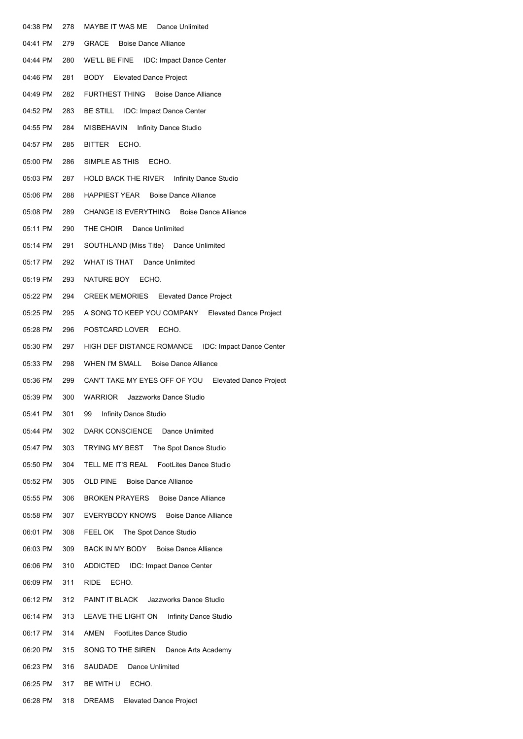| 04:38 PM | 278 | MAYBE IT WAS ME Dance Unlimited                      |
|----------|-----|------------------------------------------------------|
| 04:41 PM | 279 | GRACE<br><b>Boise Dance Alliance</b>                 |
| 04:44 PM | 280 | WE'LL BE FINE IDC: Impact Dance Center               |
| 04:46 PM | 281 | BODY<br><b>Elevated Dance Project</b>                |
| 04:49 PM | 282 | FURTHEST THING Boise Dance Alliance                  |
| 04:52 PM | 283 | BE STILL IDC: Impact Dance Center                    |
| 04:55 PM | 284 | MISBEHAVIN<br>Infinity Dance Studio                  |
| 04:57 PM | 285 | BITTER ECHO.                                         |
| 05:00 PM | 286 | SIMPLE AS THIS<br>ECHO.                              |
| 05:03 PM | 287 | HOLD BACK THE RIVER Infinity Dance Studio            |
| 05:06 PM | 288 | HAPPIEST YEAR Boise Dance Alliance                   |
| 05:08 PM | 289 | CHANGE IS EVERYTHING Boise Dance Alliance            |
| 05:11 PM | 290 | THE CHOIR Dance Unlimited                            |
| 05:14 PM | 291 | SOUTHLAND (Miss Title) Dance Unlimited               |
| 05:17 PM | 292 | WHAT IS THAT Dance Unlimited                         |
| 05:19 PM | 293 | NATURE BOY ECHO.                                     |
| 05:22 PM | 294 | <b>CREEK MEMORIES</b> Elevated Dance Project         |
| 05:25 PM | 295 | A SONG TO KEEP YOU COMPANY Elevated Dance Project    |
| 05:28 PM | 296 | POSTCARD LOVER ECHO.                                 |
| 05:30 PM | 297 | HIGH DEF DISTANCE ROMANCE IDC: Impact Dance Center   |
| 05:33 PM | 298 | WHEN I'M SMALL Boise Dance Alliance                  |
| 05:36 PM | 299 | CAN'T TAKE MY EYES OFF OF YOU Elevated Dance Project |
| 05:39 PM | 300 | WARRIOR<br>Jazzworks Dance Studio                    |
| 05:41 PM | 301 | 99 Infinity Dance Studio                             |
| 05:44 PM | 302 | DARK CONSCIENCE Dance Unlimited                      |
| 05:47 PM | 303 | TRYING MY BEST The Spot Dance Studio                 |
| 05:50 PM | 304 | TELL ME IT'S REAL FootLites Dance Studio             |
| 05:52 PM | 305 | OLD PINE Boise Dance Alliance                        |
| 05:55 PM | 306 | <b>BROKEN PRAYERS</b> Boise Dance Alliance           |
| 05:58 PM | 307 | EVERYBODY KNOWS<br><b>Boise Dance Alliance</b>       |
| 06:01 PM | 308 | FEEL OK The Spot Dance Studio                        |
| 06:03 PM | 309 | BACK IN MY BODY Boise Dance Alliance                 |
| 06:06 PM | 310 | ADDICTED IDC: Impact Dance Center                    |
| 06:09 PM | 311 | RIDE<br>ECHO.                                        |
| 06:12 PM | 312 | PAINT IT BLACK Jazzworks Dance Studio                |
| 06:14 PM | 313 | LEAVE THE LIGHT ON Infinity Dance Studio             |
| 06:17 PM | 314 | AMEN<br><b>FootLites Dance Studio</b>                |
| 06:20 PM | 315 | SONG TO THE SIREN<br>Dance Arts Academy              |
| 06:23 PM | 316 | Dance Unlimited<br>SAUDADE                           |
| 06:25 PM | 317 | BE WITH U ECHO.                                      |
| 06:28 PM | 318 | DREAMS<br><b>Elevated Dance Project</b>              |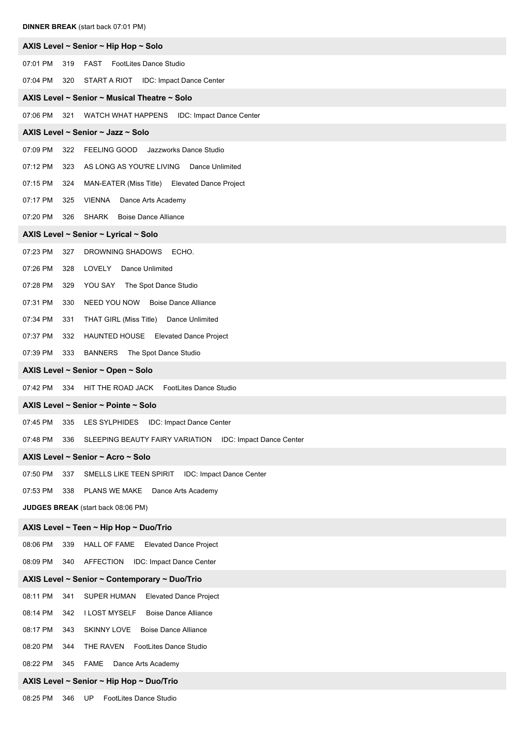| <b>DINNER BREAK</b> (start back 07:01 PM)                                             |
|---------------------------------------------------------------------------------------|
| AXIS Level ~ Senior ~ Hip Hop ~ Solo                                                  |
| 07:01 PM<br><b>FAST</b> FootLites Dance Studio<br>319                                 |
| 07:04 PM<br>START A RIOT<br><b>IDC: Impact Dance Center</b><br>320                    |
| AXIS Level ~ Senior ~ Musical Theatre ~ Solo                                          |
| 07:06 PM<br>321<br>WATCH WHAT HAPPENS<br>IDC: Impact Dance Center                     |
| AXIS Level ~ Senior ~ Jazz ~ Solo                                                     |
| 07:09 PM<br>Jazzworks Dance Studio<br>322<br><b>FEELING GOOD</b>                      |
| 07:12 PM<br>AS LONG AS YOU'RE LIVING Dance Unlimited<br>323                           |
| 07:15 PM<br>MAN-EATER (Miss Title) Elevated Dance Project<br>324                      |
| 07:17 PM<br><b>VIENNA</b><br>Dance Arts Academy<br>325                                |
| 07:20 PM<br>326<br>SHARK<br><b>Boise Dance Alliance</b>                               |
| AXIS Level ~ Senior ~ Lyrical ~ Solo                                                  |
| 07:23 PM<br>DROWNING SHADOWS<br>ECHO.<br>327                                          |
| 07:26 PM<br>LOVELY<br>Dance Unlimited<br>328                                          |
| 07:28 PM<br>YOU SAY<br>The Spot Dance Studio<br>329                                   |
| 07:31 PM<br>330<br>NEED YOU NOW Boise Dance Alliance                                  |
| 07:34 PM<br>THAT GIRL (Miss Title)<br>331<br>Dance Unlimited                          |
| 07:37 PM<br>HAUNTED HOUSE Elevated Dance Project<br>332                               |
| 07:39 PM<br>BANNERS The Spot Dance Studio<br>333                                      |
| AXIS Level ~ Senior ~ Open ~ Solo                                                     |
| 07:42 PM<br>HIT THE ROAD JACK FootLites Dance Studio<br>334                           |
| AXIS Level ~ Senior ~ Pointe ~ Solo                                                   |
| 07:45 PM<br>IDC: Impact Dance Center<br>335<br>LES SYLPHIDES                          |
| 07:48 PM<br>336<br>SLEEPING BEAUTY FAIRY VARIATION<br><b>IDC: Impact Dance Center</b> |
| AXIS Level ~ Senior ~ Acro ~ Solo                                                     |
| 07:50 PM<br>IDC: Impact Dance Center<br>337<br>SMELLS LIKE TEEN SPIRIT                |
| 07:53 PM<br>PLANS WE MAKE<br>Dance Arts Academy<br>338                                |
| JUDGES BREAK (start back 08:06 PM)                                                    |
| AXIS Level ~ Teen ~ Hip Hop ~ Duo/Trio                                                |
| 08:06 PM<br>339<br><b>HALL OF FAME</b><br><b>Elevated Dance Project</b>               |
| 08:09 PM<br>340<br><b>AFFECTION</b><br>IDC: Impact Dance Center                       |
| AXIS Level ~ Senior ~ Contemporary ~ Duo/Trio                                         |
| 08:11 PM<br>SUPER HUMAN<br><b>Elevated Dance Project</b><br>341                       |
| <b>I LOST MYSELF</b><br>08:14 PM<br>342<br><b>Boise Dance Alliance</b>                |
| 08:17 PM<br>SKINNY LOVE<br><b>Boise Dance Alliance</b><br>343                         |
| FootLites Dance Studio<br>08:20 PM<br>THE RAVEN<br>344                                |
| 08:22 PM<br><b>FAME</b><br>Dance Arts Academy<br>345                                  |
| AXIS Level ~ Senior ~ Hip Hop ~ Duo/Trio                                              |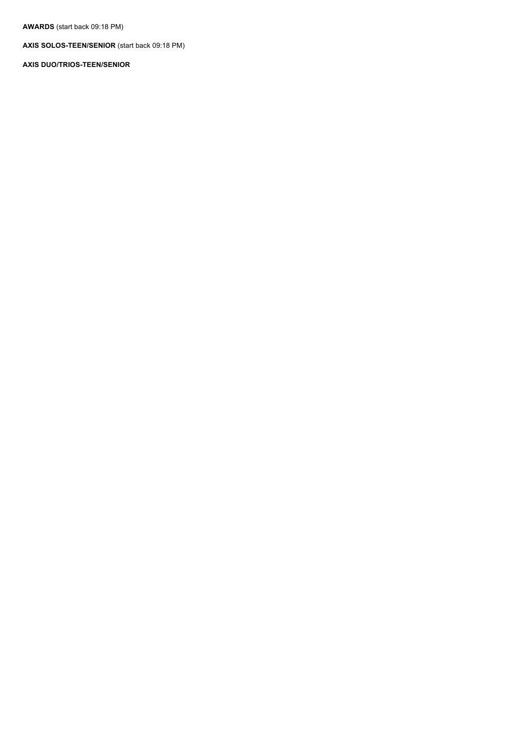**AWARDS** (start back 09:18 PM)

**AXIS SOLOS-TEEN/SENIOR** (start back 09:18 PM)

**AXIS DUO/TRIOS-TEEN/SENIOR**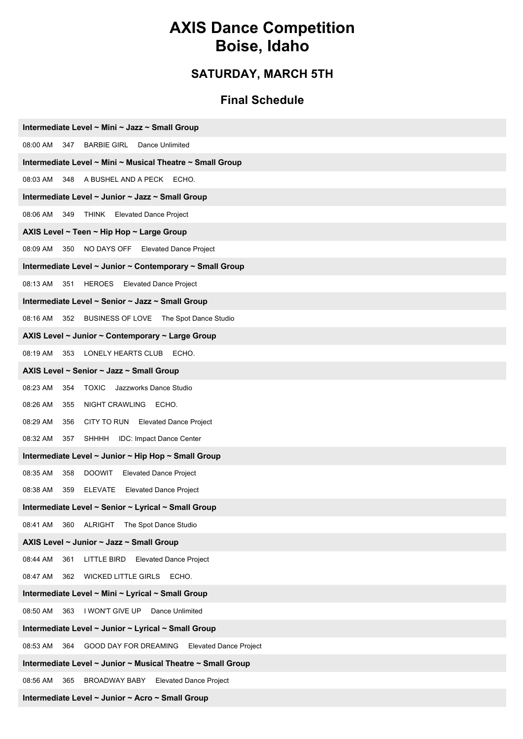## **AXIS Dance Competition Boise, Idaho**

### **SATURDAY, MARCH 5TH**

#### **Final Schedule**

| Intermediate Level ~ Mini ~ Jazz ~ Small Group                            |
|---------------------------------------------------------------------------|
| 08:00 AM 347<br><b>BARBIE GIRL</b><br>Dance Unlimited                     |
| Intermediate Level ~ Mini ~ Musical Theatre ~ Small Group                 |
| A BUSHEL AND A PECK<br>08:03 AM<br>348<br>ECHO.                           |
| Intermediate Level ~ Junior ~ Jazz ~ Small Group                          |
| 08:06 AM<br>349 THINK Elevated Dance Project                              |
| AXIS Level ~ Teen ~ Hip Hop ~ Large Group                                 |
| 08:09 AM 350<br>NO DAYS OFF Elevated Dance Project                        |
| Intermediate Level ~ Junior ~ Contemporary ~ Small Group                  |
| 08:13 AM 351<br>HEROES Elevated Dance Project                             |
| Intermediate Level ~ Senior ~ Jazz ~ Small Group                          |
| BUSINESS OF LOVE The Spot Dance Studio<br>08:16 AM<br>352                 |
| AXIS Level ~ Junior ~ Contemporary ~ Large Group                          |
| 08:19 AM<br>353<br>LONELY HEARTS CLUB<br>ECHO.                            |
| AXIS Level ~ Senior ~ Jazz ~ Small Group                                  |
| <b>TOXIC</b> Jazzworks Dance Studio<br>08:23 AM<br>354                    |
| 08:26 AM<br>NIGHT CRAWLING ECHO.<br>355                                   |
| 08:29 AM<br>CITY TO RUN Elevated Dance Project<br>356                     |
| 08:32 AM<br>SHHHH IDC: Impact Dance Center<br>357                         |
| Intermediate Level ~ Junior ~ Hip Hop ~ Small Group                       |
| 08:35 AM<br>358<br><b>DOOWIT</b><br><b>Elevated Dance Project</b>         |
| 08:38 AM<br>ELEVATE Elevated Dance Project<br>359                         |
| Intermediate Level ~ Senior ~ Lyrical ~ Small Group                       |
| 08:41 AM<br><b>ALRIGHT</b><br>The Spot Dance Studio<br>360                |
| AXIS Level ~ Junior ~ Jazz ~ Small Group                                  |
| 08:44 AM<br>361<br>LITTLE BIRD<br><b>Elevated Dance Project</b>           |
| <b>WICKED LITTLE GIRLS</b><br>ECHO.<br>08:47 AM<br>362                    |
| Intermediate Level ~ Mini ~ Lyrical ~ Small Group                         |
| I WON'T GIVE UP<br>08:50 AM<br>363<br>Dance Unlimited                     |
| Intermediate Level ~ Junior ~ Lyrical ~ Small Group                       |
| 08:53 AM<br>GOOD DAY FOR DREAMING<br>364<br><b>Elevated Dance Project</b> |
| Intermediate Level ~ Junior ~ Musical Theatre ~ Small Group               |
| 08:56 AM<br>365<br>BROADWAY BABY<br><b>Elevated Dance Project</b>         |

**Intermediate Level ~ Junior ~ Acro ~ Small Group**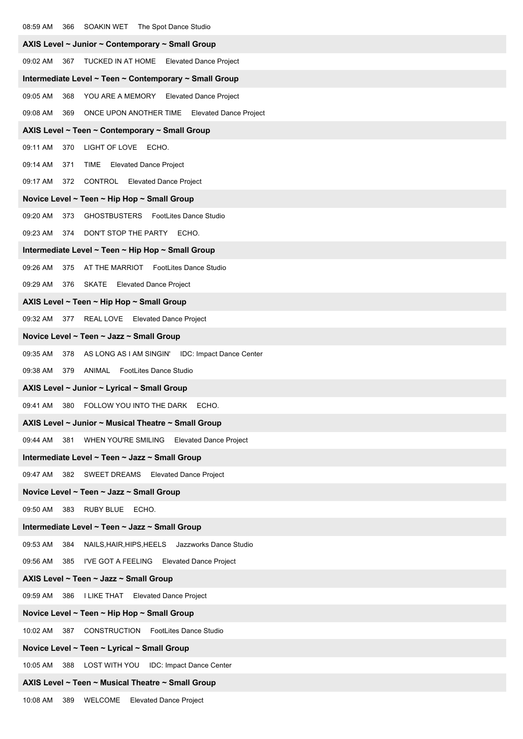| SOAKIN WET The Spot Dance Studio<br>08:59 AM<br>366                    |
|------------------------------------------------------------------------|
| AXIS Level ~ Junior ~ Contemporary ~ Small Group                       |
| 09:02 AM<br>TUCKED IN AT HOME<br><b>Elevated Dance Project</b><br>367  |
| Intermediate Level ~ Teen ~ Contemporary ~ Small Group                 |
| 09:05 AM<br>368<br>YOU ARE A MEMORY Elevated Dance Project             |
| 09:08 AM<br>369<br>ONCE UPON ANOTHER TIME Elevated Dance Project       |
| AXIS Level ~ Teen ~ Contemporary ~ Small Group                         |
| LIGHT OF LOVE ECHO.<br>09:11 AM<br>370                                 |
| 09:14 AM<br>TIME<br><b>Elevated Dance Project</b><br>371               |
| 09:17 AM<br>372<br><b>CONTROL</b> Elevated Dance Project               |
| Novice Level ~ Teen ~ Hip Hop ~ Small Group                            |
| 09:20 AM<br><b>GHOSTBUSTERS</b><br>FootLites Dance Studio<br>373       |
| DON'T STOP THE PARTY ECHO.<br>09:23 AM<br>374                          |
| Intermediate Level ~ Teen ~ Hip Hop ~ Small Group                      |
| 09:26 AM<br>AT THE MARRIOT FootLites Dance Studio<br>375               |
| 376 SKATE Elevated Dance Project<br>09:29 AM                           |
| AXIS Level ~ Teen ~ Hip Hop ~ Small Group                              |
| 377 REAL LOVE Elevated Dance Project<br>09:32 AM                       |
| Novice Level ~ Teen ~ Jazz ~ Small Group                               |
| 09:35 AM<br>AS LONG AS I AM SINGIN'<br>IDC: Impact Dance Center<br>378 |
| 09:38 AM<br>379<br>ANIMAL<br><b>FootLites Dance Studio</b>             |
| AXIS Level ~ Junior ~ Lyrical ~ Small Group                            |
| 09:41 AM<br>380<br>FOLLOW YOU INTO THE DARK<br>ECHO.                   |
| AXIS Level ~ Junior ~ Musical Theatre ~ Small Group                    |
| WHEN YOU'RE SMILING Elevated Dance Project<br>09:44 AM<br>381          |
| Intermediate Level ~ Teen ~ Jazz ~ Small Group                         |
| 09:47 AM<br>382 SWEET DREAMS Elevated Dance Project                    |
| Novice Level ~ Teen ~ Jazz ~ Small Group                               |
| 09:50 AM<br>383 RUBY BLUE ECHO.                                        |
| Intermediate Level ~ Teen ~ Jazz ~ Small Group                         |
| 09:53 AM<br>NAILS, HAIR, HIPS, HEELS Jazzworks Dance Studio<br>384     |
| 09:56 AM<br>385 I'VE GOT A FEELING Elevated Dance Project              |
| AXIS Level ~ Teen ~ Jazz ~ Small Group                                 |
| 09:59 AM<br>386<br>I LIKE THAT<br><b>Elevated Dance Project</b>        |
| Novice Level ~ Teen ~ Hip Hop ~ Small Group                            |
| <b>CONSTRUCTION</b> FootLites Dance Studio<br>10:02 AM<br>387          |
| Novice Level ~ Teen ~ Lyrical ~ Small Group                            |
| LOST WITH YOU IDC: Impact Dance Center<br>10:05 AM<br>388              |
| AXIS Level ~ Teen ~ Musical Theatre ~ Small Group                      |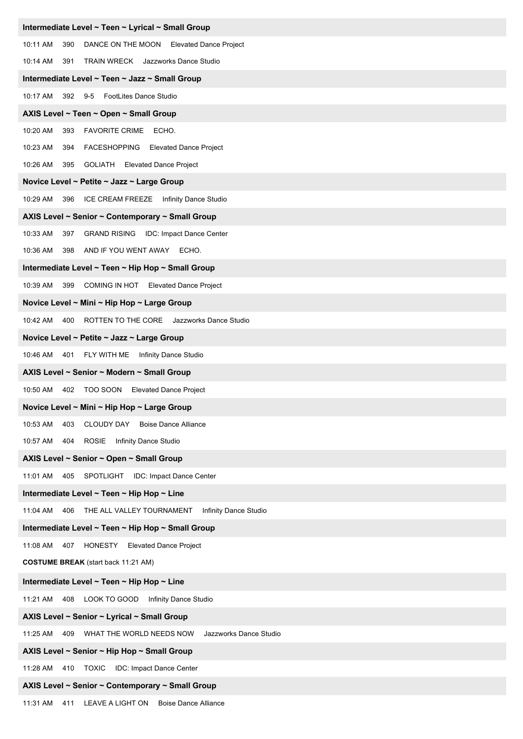| Intermediate Level ~ Teen ~ Lyrical ~ Small Group                     |
|-----------------------------------------------------------------------|
| 10:11 AM<br>390<br>DANCE ON THE MOON Elevated Dance Project           |
| <b>TRAIN WRECK</b> Jazzworks Dance Studio<br>10:14 AM<br>391          |
| Intermediate Level ~ Teen ~ Jazz ~ Small Group                        |
| 10:17 AM 392 9-5 FootLites Dance Studio                               |
| AXIS Level ~ Teen ~ Open ~ Small Group                                |
| <b>FAVORITE CRIME</b><br>10:20 AM<br>393<br>ECHO.                     |
| 10:23 AM<br>FACESHOPPING Elevated Dance Project<br>394                |
| 10:26 AM<br>395<br><b>GOLIATH</b> Elevated Dance Project              |
| Novice Level ~ Petite ~ Jazz ~ Large Group                            |
| 10:29 AM<br>396 ICE CREAM FREEZE Infinity Dance Studio                |
| AXIS Level ~ Senior ~ Contemporary ~ Small Group                      |
| 10:33 AM<br>397<br><b>GRAND RISING IDC: Impact Dance Center</b>       |
| 10:36 AM 398<br>AND IF YOU WENT AWAY ECHO.                            |
| Intermediate Level ~ Teen ~ Hip Hop ~ Small Group                     |
| 10:39 AM<br>399<br>COMING IN HOT Elevated Dance Project               |
| Novice Level ~ Mini ~ Hip Hop ~ Large Group                           |
| 10:42 AM 400 ROTTEN TO THE CORE Jazzworks Dance Studio                |
| Novice Level ~ Petite ~ Jazz ~ Large Group                            |
| 10:46 AM 401<br>FLY WITH ME Infinity Dance Studio                     |
| AXIS Level ~ Senior ~ Modern ~ Small Group                            |
| 10:50 AM 402 TOO SOON Elevated Dance Project                          |
| Novice Level ~ Mini ~ Hip Hop ~ Large Group                           |
| 10:53 AM<br><b>CLOUDY DAY</b><br><b>Boise Dance Alliance</b><br>403   |
| 10:57 AM 404<br>ROSIE Infinity Dance Studio                           |
| AXIS Level ~ Senior ~ Open ~ Small Group                              |
| SPOTLIGHT<br><b>IDC: Impact Dance Center</b><br>11:01 AM<br>405       |
| Intermediate Level ~ Teen ~ Hip Hop ~ Line                            |
| Infinity Dance Studio<br>11:04 AM 406 THE ALL VALLEY TOURNAMENT       |
| Intermediate Level ~ Teen ~ Hip Hop ~ Small Group                     |
| 11:08 AM 407<br>HONESTY<br><b>Elevated Dance Project</b>              |
| <b>COSTUME BREAK</b> (start back 11:21 AM)                            |
| Intermediate Level ~ Teen ~ Hip Hop ~ Line                            |
| 11:21 AM 408 LOOK TO GOOD Infinity Dance Studio                       |
| AXIS Level ~ Senior ~ Lyrical ~ Small Group                           |
| Jazzworks Dance Studio<br>11:25 AM<br>409<br>WHAT THE WORLD NEEDS NOW |
| AXIS Level ~ Senior ~ Hip Hop ~ Small Group                           |
| 11:28 AM 410 TOXIC IDC: Impact Dance Center                           |
| AXIS Level ~ Senior ~ Contemporary ~ Small Group                      |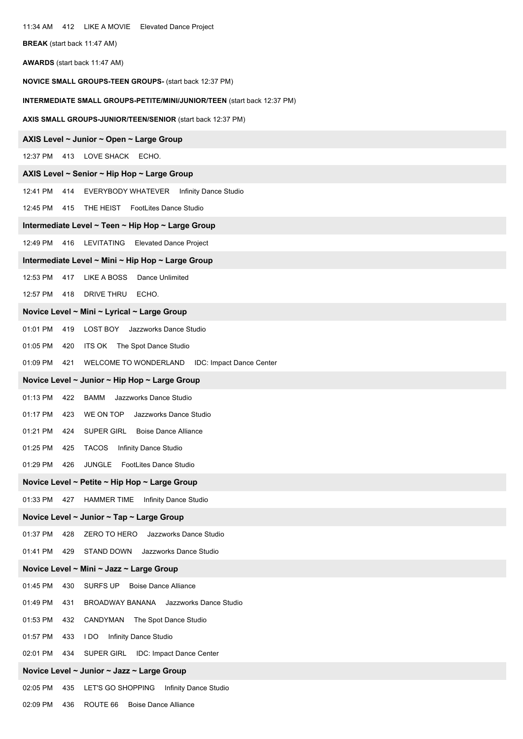| 11:34 AM 412 LIKE A MOVIE Elevated Dance Project                               |
|--------------------------------------------------------------------------------|
| BREAK (start back 11:47 AM)                                                    |
| <b>AWARDS</b> (start back 11:47 AM)                                            |
| <b>NOVICE SMALL GROUPS-TEEN GROUPS- (start back 12:37 PM)</b>                  |
| <b>INTERMEDIATE SMALL GROUPS-PETITE/MINI/JUNIOR/TEEN (start back 12:37 PM)</b> |
| AXIS SMALL GROUPS-JUNIOR/TEEN/SENIOR (start back 12:37 PM)                     |
| AXIS Level ~ Junior ~ Open ~ Large Group                                       |
| 12:37 PM 413 LOVE SHACK ECHO.                                                  |
| AXIS Level ~ Senior ~ Hip Hop ~ Large Group                                    |
| 12:41 PM<br>414 EVERYBODY WHATEVER Infinity Dance Studio                       |
| 12:45 PM<br>415 THE HEIST FootLites Dance Studio                               |
| Intermediate Level ~ Teen ~ Hip Hop ~ Large Group                              |
| 12:49 PM 416 LEVITATING<br><b>Elevated Dance Project</b>                       |
| Intermediate Level ~ Mini ~ Hip Hop ~ Large Group                              |
| 12:53 PM<br>LIKE A BOSS<br>Dance Unlimited<br>417                              |
| 12:57 PM 418 DRIVE THRU ECHO.                                                  |
| Novice Level ~ Mini ~ Lyrical ~ Large Group                                    |
| 01:01 PM<br>419 LOST BOY<br>Jazzworks Dance Studio                             |
| 01:05 PM<br>ITS OK The Spot Dance Studio<br>420                                |
| 01:09 PM<br>WELCOME TO WONDERLAND IDC: Impact Dance Center<br>421              |
| Novice Level ~ Junior ~ Hip Hop ~ Large Group                                  |
| 01:13 PM<br>BAMM<br>Jazzworks Dance Studio<br>422                              |
| 01:17 PM 423 WE ON TOP Jazzworks Dance Studio                                  |
| 01:21 PM<br>SUPER GIRL<br><b>Boise Dance Alliance</b><br>424                   |
| 01:25 PM<br><b>TACOS</b><br>Infinity Dance Studio<br>425                       |
| 01:29 PM<br>426<br>JUNGLE<br><b>FootLites Dance Studio</b>                     |
| Novice Level ~ Petite ~ Hip Hop ~ Large Group                                  |
| 01:33 PM 427<br><b>HAMMER TIME</b> Infinity Dance Studio                       |
| Novice Level ~ Junior ~ Tap ~ Large Group                                      |
| 01:37 PM<br>ZERO TO HERO<br>Jazzworks Dance Studio<br>428                      |
| 01:41 PM<br>429<br>STAND DOWN<br>Jazzworks Dance Studio                        |
| Novice Level ~ Mini ~ Jazz ~ Large Group                                       |
| 01:45 PM<br>SURFS UP<br><b>Boise Dance Alliance</b><br>430                     |
| 01:49 PM<br>BROADWAY BANANA Jazzworks Dance Studio<br>431                      |
| 01:53 PM<br>CANDYMAN The Spot Dance Studio<br>432                              |
| 01:57 PM<br>Infinity Dance Studio<br>433<br>I DO                               |
| 02:01 PM<br>SUPER GIRL IDC: Impact Dance Center<br>434                         |
| Novice Level ~ Junior ~ Jazz ~ Large Group                                     |
| 02:05 PM<br>LET'S GO SHOPPING Infinity Dance Studio<br>435                     |
| 02:09 PM<br>ROUTE 66 Boise Dance Alliance<br>436                               |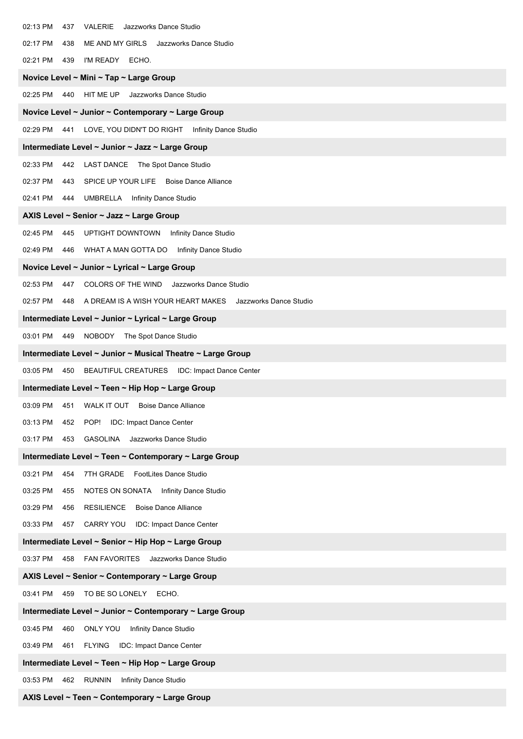| 02:13 PM | VALERIE<br>Jazzworks Dance Studio<br>437                      |
|----------|---------------------------------------------------------------|
| 02:17 PM | ME AND MY GIRLS<br>Jazzworks Dance Studio<br>438              |
| 02:21 PM | I'M READY ECHO.<br>439                                        |
|          | Novice Level ~ Mini ~ Tap ~ Large Group                       |
| 02:25 PM | 440<br>HIT ME UP<br>Jazzworks Dance Studio                    |
|          | Novice Level ~ Junior ~ Contemporary ~ Large Group            |
| 02:29 PM | 441 LOVE, YOU DIDN'T DO RIGHT Infinity Dance Studio           |
|          | Intermediate Level ~ Junior ~ Jazz ~ Large Group              |
| 02:33 PM | LAST DANCE The Spot Dance Studio<br>442                       |
| 02:37 PM | SPICE UP YOUR LIFE Boise Dance Alliance<br>443                |
| 02:41 PM | <b>UMBRELLA</b> Infinity Dance Studio<br>444                  |
|          | AXIS Level ~ Senior ~ Jazz ~ Large Group                      |
| 02:45 PM | 445<br>UPTIGHT DOWNTOWN<br>Infinity Dance Studio              |
|          | 02:49 PM 446 WHAT A MAN GOTTA DO Infinity Dance Studio        |
|          | Novice Level ~ Junior ~ Lyrical ~ Large Group                 |
| 02:53 PM | COLORS OF THE WIND Jazzworks Dance Studio<br>447              |
| 02:57 PM | 448 A DREAM IS A WISH YOUR HEART MAKES Jazzworks Dance Studio |
|          | Intermediate Level ~ Junior ~ Lyrical ~ Large Group           |
|          | 03:01 PM 449 NOBODY The Spot Dance Studio                     |
|          | Intermediate Level ~ Junior ~ Musical Theatre ~ Large Group   |
| 03:05 PM | 450<br>BEAUTIFUL CREATURES IDC: Impact Dance Center           |
|          | Intermediate Level ~ Teen ~ Hip Hop ~ Large Group             |
|          | 03:09 PM 451 WALK IT OUT Boise Dance Alliance                 |
| 03:13 PM | <b>IDC: Impact Dance Center</b><br>452<br>POP!                |
| 03:17 PM | <b>GASOLINA</b><br>Jazzworks Dance Studio<br>453              |
|          | Intermediate Level ~ Teen ~ Contemporary ~ Large Group        |
| 03:21 PM | 454<br>7TH GRADE FootLites Dance Studio                       |
| 03:25 PM | NOTES ON SONATA<br><b>Infinity Dance Studio</b><br>455        |
| 03:29 PM | <b>RESILIENCE</b><br><b>Boise Dance Alliance</b><br>456       |
| 03:33 PM | CARRY YOU<br>IDC: Impact Dance Center<br>457                  |
|          | Intermediate Level ~ Senior ~ Hip Hop ~ Large Group           |
| 03:37 PM | 458<br><b>FAN FAVORITES</b><br>Jazzworks Dance Studio         |
|          | AXIS Level ~ Senior ~ Contemporary ~ Large Group              |
| 03:41 PM | 459 TO BE SO LONELY<br>ECHO.                                  |
|          | Intermediate Level ~ Junior ~ Contemporary ~ Large Group      |
| 03:45 PM | ONLY YOU<br>Infinity Dance Studio<br>460                      |
| 03:49 PM | FLYING IDC: Impact Dance Center<br>461                        |
|          | Intermediate Level ~ Teen ~ Hip Hop ~ Large Group             |
| 03:53 PM | <b>RUNNIN</b><br>Infinity Dance Studio<br>462                 |

#### **AXIS Level ~ Teen ~ Contemporary ~ Large Group**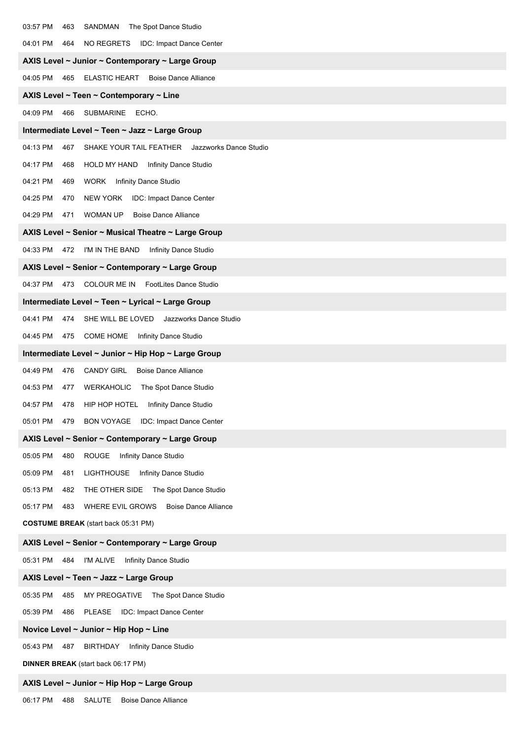| 03:57 PM<br>SANDMAN<br>The Spot Dance Studio<br>463                    |
|------------------------------------------------------------------------|
| 04:01 PM<br>464<br>NO REGRETS<br><b>IDC: Impact Dance Center</b>       |
| AXIS Level ~ Junior ~ Contemporary ~ Large Group                       |
| 04:05 PM<br>465<br><b>ELASTIC HEART</b><br><b>Boise Dance Alliance</b> |
| AXIS Level ~ Teen ~ Contemporary ~ Line                                |
| 04:09 PM<br>SUBMARINE ECHO.<br>466                                     |
| Intermediate Level ~ Teen ~ Jazz ~ Large Group                         |
| 04:13 PM<br>467<br>SHAKE YOUR TAIL FEATHER Jazzworks Dance Studio      |
| 04:17 PM<br>HOLD MY HAND Infinity Dance Studio<br>468                  |
| 04:21 PM<br>WORK<br><b>Infinity Dance Studio</b><br>469                |
| 04:25 PM<br>470<br>NEW YORK IDC: Impact Dance Center                   |
| 04:29 PM<br>471<br>WOMAN UP<br><b>Boise Dance Alliance</b>             |
| AXIS Level ~ Senior ~ Musical Theatre ~ Large Group                    |
| 04:33 PM<br>472 I'M IN THE BAND<br>Infinity Dance Studio               |
| AXIS Level ~ Senior ~ Contemporary ~ Large Group                       |
| 04:37 PM 473 COLOUR ME IN FootLites Dance Studio                       |
| Intermediate Level ~ Teen ~ Lyrical ~ Large Group                      |
| 04:41 PM<br>SHE WILL BE LOVED<br>Jazzworks Dance Studio<br>474         |
| 04:45 PM<br>475<br><b>COME HOME</b> Infinity Dance Studio              |
| Intermediate Level ~ Junior ~ Hip Hop ~ Large Group                    |
| 04:49 PM<br>476<br><b>CANDY GIRL</b><br><b>Boise Dance Alliance</b>    |
| 04:53 PM<br>WERKAHOLIC The Spot Dance Studio<br>477                    |
| 04:57 PM<br>HIP HOP HOTEL Infinity Dance Studio<br>478                 |
| BON VOYAGE IDC: Impact Dance Center<br>05:01 PM<br>479                 |
| AXIS Level ~ Senior ~ Contemporary ~ Large Group                       |
| 05:05 PM<br>480<br>ROUGE<br>Infinity Dance Studio                      |
| 05:09 PM<br><b>LIGHTHOUSE</b><br>Infinity Dance Studio<br>481          |
| 05:13 PM<br>THE OTHER SIDE<br>The Spot Dance Studio<br>482             |
| 05:17 PM<br>WHERE EVIL GROWS<br><b>Boise Dance Alliance</b><br>483     |
| <b>COSTUME BREAK</b> (start back 05:31 PM)                             |
| AXIS Level ~ Senior ~ Contemporary ~ Large Group                       |
| 05:31 PM<br>484<br>I'M ALIVE<br>Infinity Dance Studio                  |
| AXIS Level ~ Teen ~ Jazz ~ Large Group                                 |
| 05:35 PM<br>MY PREOGATIVE The Spot Dance Studio<br>485                 |
| 05:39 PM<br>PLEASE<br>IDC: Impact Dance Center<br>486                  |
| Novice Level $\sim$ Junior $\sim$ Hip Hop $\sim$ Line                  |
| 05:43 PM<br>BIRTHDAY<br>Infinity Dance Studio<br>487                   |
| <b>DINNER BREAK</b> (start back 06:17 PM)                              |
| AXIS Level ~ Junior ~ Hip Hop ~ Large Group                            |